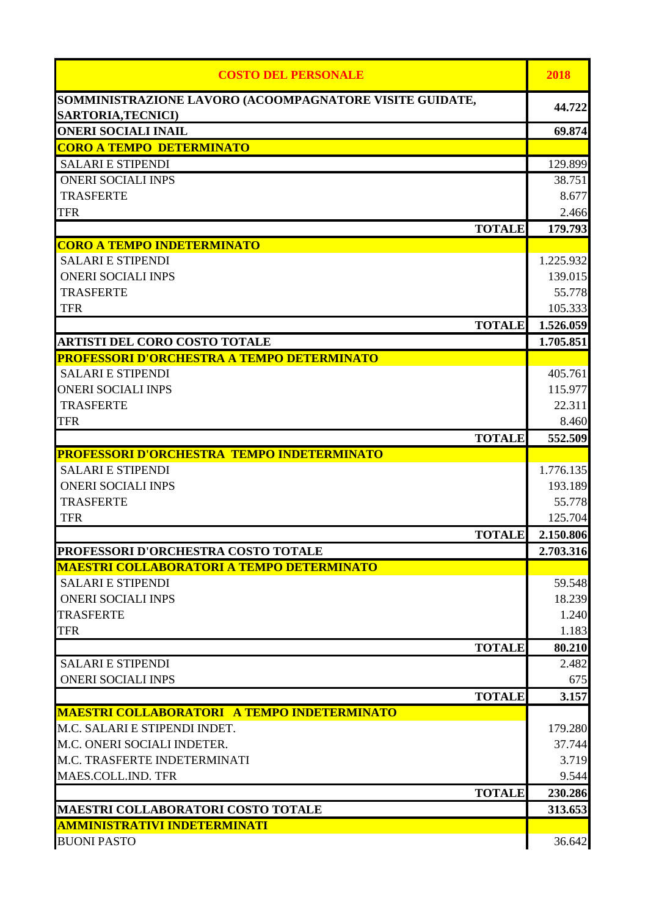| <b>COSTO DEL PERSONALE</b>                                         | 2018            |
|--------------------------------------------------------------------|-----------------|
| SOMMINISTRAZIONE LAVORO (ACOOMPAGNATORE VISITE GUIDATE,            | 44.722          |
| <b>SARTORIA, TECNICI)</b><br><b>ONERI SOCIALI INAIL</b>            | 69.874          |
| <b>CORO A TEMPO DETERMINATO</b>                                    |                 |
| <b>SALARI E STIPENDI</b>                                           | 129.899         |
| <b>ONERI SOCIALI INPS</b>                                          | 38.751          |
| <b>TRASFERTE</b>                                                   | 8.677           |
| <b>TFR</b>                                                         | 2.466           |
| <b>TOTALE</b>                                                      | 179.793         |
| <b>CORO A TEMPO INDETERMINATO</b>                                  |                 |
| <b>SALARI E STIPENDI</b>                                           | 1.225.932       |
| <b>ONERI SOCIALI INPS</b>                                          | 139.015         |
| <b>TRASFERTE</b>                                                   | 55.778          |
| <b>TFR</b>                                                         | 105.333         |
| <b>TOTALE</b>                                                      | 1.526.059       |
| <b>ARTISTI DEL CORO COSTO TOTALE</b>                               | 1.705.851       |
| PROFESSORI D'ORCHESTRA A TEMPO DETERMINATO                         |                 |
| <b>SALARI E STIPENDI</b>                                           | 405.761         |
| <b>ONERI SOCIALI INPS</b>                                          | 115.977         |
| <b>TRASFERTE</b>                                                   | 22.311          |
| <b>TFR</b>                                                         | 8.460           |
| <b>TOTALE</b><br><b>PROFESSORI D'ORCHESTRA TEMPO INDETERMINATO</b> | 552.509         |
| <b>SALARI E STIPENDI</b>                                           | 1.776.135       |
| <b>ONERI SOCIALI INPS</b>                                          | 193.189         |
| <b>TRASFERTE</b>                                                   | 55.778          |
| <b>TFR</b>                                                         | 125.704         |
| <b>TOTALE</b>                                                      | 2.150.806       |
| PROFESSORI D'ORCHESTRA COSTO TOTALE                                | 2.703.316       |
| <b>MAESTRI COLLABORATORI A TEMPO DETERMINATO</b>                   |                 |
| <b>SALARI E STIPENDI</b>                                           | 59.548          |
| <b>ONERI SOCIALI INPS</b>                                          | 18.239          |
| <b>TRASFERTE</b>                                                   | 1.240           |
| <b>TFR</b>                                                         | 1.183           |
| <b>TOTALE</b>                                                      | 80.210          |
| <b>SALARI E STIPENDI</b>                                           | 2.482           |
| <b>ONERI SOCIALI INPS</b>                                          | 675             |
| <b>TOTALE</b>                                                      | 3.157           |
| <b>MAESTRI COLLABORATORI A TEMPO INDETERMINATO</b>                 |                 |
| M.C. SALARI E STIPENDI INDET.<br>M.C. ONERI SOCIALI INDETER.       | 179.280         |
| M.C. TRASFERTE INDETERMINATI                                       | 37.744<br>3.719 |
| MAES.COLL.IND. TFR                                                 | 9.544           |
| <b>TOTALE</b>                                                      | 230.286         |
| <b>MAESTRI COLLABORATORI COSTO TOTALE</b>                          | 313.653         |
| <b>AMMINISTRATIVI INDETERMINATI</b>                                |                 |
| <b>BUONI PASTO</b>                                                 | 36.642          |
|                                                                    |                 |